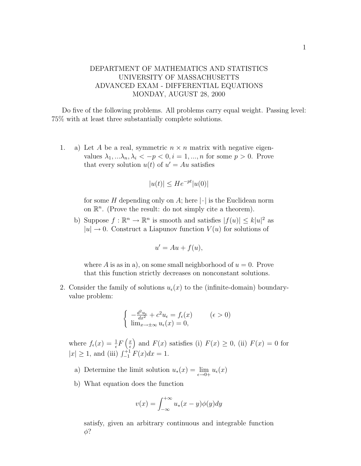## DEPARTMENT OF MATHEMATICS AND STATISTICS UNIVERSITY OF MASSACHUSETTS ADVANCED EXAM - DIFFERENTIAL EQUATIONS MONDAY, AUGUST 28, 2000

Do five of the following problems. All problems carry equal weight. Passing level: 75% with at least three substantially complete solutions.

1. a) Let A be a real, symmetric  $n \times n$  matrix with negative eigenvalues  $\lambda_1, \ldots, \lambda_n, \lambda_i < -p < 0, i = 1, \ldots, n$  for some  $p > 0$ . Prove that every solution  $u(t)$  of  $u' = Au$  satisfies

$$
|u(t)| \le He^{-pt}|u(0)|
$$

for some H depending only on A; here  $|\cdot|$  is the Euclidean norm on  $\mathbb{R}^n$ . (Prove the result: do not simply cite a theorem).

b) Suppose  $f : \mathbb{R}^n \to \mathbb{R}^n$  is smooth and satisfies  $|f(u)| \leq k |u|^2$  as  $|u| \to 0$ . Construct a Liapunov function  $V(u)$  for solutions of

$$
u' = Au + f(u),
$$

where A is as in a), on some small neighborhood of  $u = 0$ . Prove that this function strictly decreases on nonconstant solutions.

2. Consider the family of solutions  $u_{\epsilon}(x)$  to the (infinite-domain) boundaryvalue problem:

$$
\begin{cases}\n-\frac{d^2u_{\epsilon}}{dx^2} + c^2u_{\epsilon} = f_{\epsilon}(x) & (\epsilon > 0) \\
\lim_{x \to \pm \infty} u_{\epsilon}(x) = 0,\n\end{cases}
$$

where  $f_{\epsilon}(x) = \frac{1}{\epsilon} F\left(\frac{x}{\epsilon}\right)$  $\epsilon$ ) and  $F(x)$  satisfies (i)  $F(x) \geq 0$ , (ii)  $F(x) = 0$  for  $|x| \geq 1$ , and (iii)  $\int_{-1}^{+1} F(x) dx = 1$ .

- a) Determine the limit solution  $u_*(x) = \lim_{\epsilon \to 0+} u_\epsilon(x)$
- b) What equation does the function

$$
v(x) = \int_{-\infty}^{+\infty} u_*(x - y) \phi(y) dy
$$

satisfy, given an arbitrary continuous and integrable function  $\phi$ ?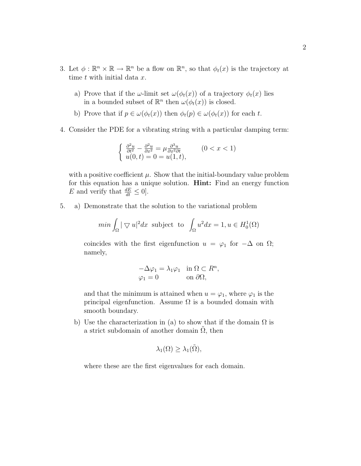- 3. Let  $\phi : \mathbb{R}^n \times \mathbb{R} \to \mathbb{R}^n$  be a flow on  $\mathbb{R}^n$ , so that  $\phi_t(x)$  is the trajectory at time  $t$  with initial data  $x$ .
	- a) Prove that if the  $\omega$ -limit set  $\omega(\phi_t(x))$  of a trajectory  $\phi_t(x)$  lies in a bounded subset of  $\mathbb{R}^n$  then  $\omega(\phi_t(x))$  is closed.
	- b) Prove that if  $p \in \omega(\phi_t(x))$  then  $\phi_t(p) \in \omega(\phi_t(x))$  for each t.
- 4. Consider the PDE for a vibrating string with a particular damping term:

$$
\begin{cases} \frac{\partial^2 u}{\partial t^2} - \frac{\partial^2 u}{\partial x^2} = \mu \frac{\partial^3 u}{\partial x^2 \partial t} & (0 < x < 1) \\ u(0, t) = 0 = u(1, t), \end{cases}
$$

with a positive coefficient  $\mu$ . Show that the initial-boundary value problem for this equation has a unique solution. Hint: Find an energy function E and verify that  $\frac{dE}{dt} \leq 0$ .

5. a) Demonstrate that the solution to the variational problem

$$
\min \int_{\Omega} |\nabla u|^2 dx \text{ subject to } \int_{\Omega} u^2 dx = 1, u \in H_0^1(\Omega)
$$

coincides with the first eigenfunction  $u = \varphi_1$  for  $-\Delta$  on  $\Omega$ ; namely,

$$
-\Delta \varphi_1 = \lambda_1 \varphi_1 \quad \text{in } \Omega \subset R^n,
$$
  

$$
\varphi_1 = 0 \qquad \text{on } \partial \Omega,
$$

and that the minimum is attained when  $u = \varphi_1$ , where  $\varphi_1$  is the principal eigenfunction. Assume  $\Omega$  is a bounded domain with smooth boundary.

b) Use the characterization in (a) to show that if the domain  $\Omega$  is a strict subdomain of another domain  $\Omega$ , then

$$
\lambda_1(\Omega) \geq \lambda_1(\tilde{\Omega}),
$$

where these are the first eigenvalues for each domain.